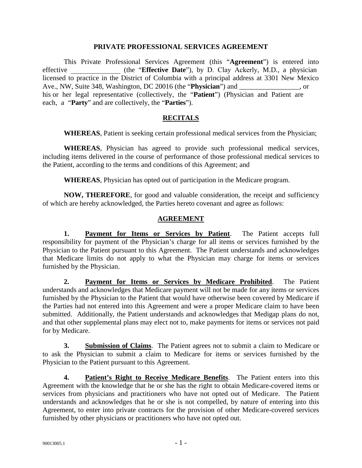#### **PRIVATE PROFESSIONAL SERVICES AGREEMENT**

This Private Professional Services Agreement (this "**Agreement**") is entered into effective **the "Effective Date**"), by D. Clay Ackerly, M.D., a physician licensed to practice in the District of Columbia with a principal address at 3301 New Mexico Ave., NW, Suite 348, Washington, DC 20016 (the "**Physician**") and  $\qquad \qquad$ , or his or her legal representative (collectively, the "**Patient**") (Physician and Patient are each, a "**Party**" and are collectively, the "**Parties**").

### **RECITALS**

**WHEREAS**, Patient is seeking certain professional medical services from the Physician;

**WHEREAS**, Physician has agreed to provide such professional medical services, including items delivered in the course of performance of those professional medical services to the Patient, according to the terms and conditions of this Agreement; and

**WHEREAS**, Physician has opted out of participation in the Medicare program.

**NOW, THEREFORE**, for good and valuable consideration, the receipt and sufficiency of which are hereby acknowledged, the Parties hereto covenant and agree as follows:

### **AGREEMENT**

**1. Payment for Items or Services by Patient**. The Patient accepts full responsibility for payment of the Physician's charge for all items or services furnished by the Physician to the Patient pursuant to this Agreement. The Patient understands and acknowledges that Medicare limits do not apply to what the Physician may charge for items or services furnished by the Physician.

**2. Payment for Items or Services by Medicare Prohibited**. The Patient understands and acknowledges that Medicare payment will not be made for any items or services furnished by the Physician to the Patient that would have otherwise been covered by Medicare if the Parties had not entered into this Agreement and were a proper Medicare claim to have been submitted. Additionally, the Patient understands and acknowledges that Medigap plans do not, and that other supplemental plans may elect not to, make payments for items or services not paid for by Medicare.

**3. Submission of Claims**. The Patient agrees not to submit a claim to Medicare or to ask the Physician to submit a claim to Medicare for items or services furnished by the Physician to the Patient pursuant to this Agreement.

**4. Patient's Right to Receive Medicare Benefits**. The Patient enters into this Agreement with the knowledge that he or she has the right to obtain Medicare-covered items or services from physicians and practitioners who have not opted out of Medicare. The Patient understands and acknowledges that he or she is not compelled, by nature of entering into this Agreement, to enter into private contracts for the provision of other Medicare-covered services furnished by other physicians or practitioners who have not opted out.